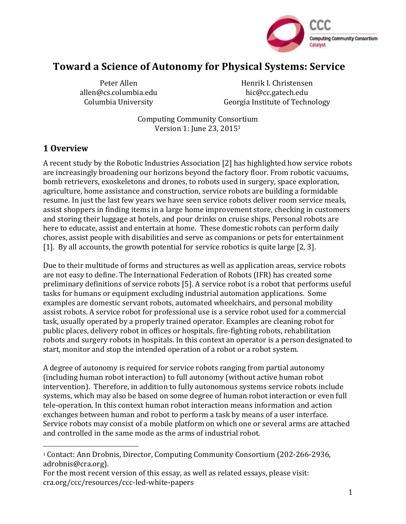

# Toward a Science of Autonomy for Physical Systems: Service

Peter Allen allen@cs.columbia.edu Columbia University

Henrik I. Christensen hic@cc.gatech.edu Georgia Institute of Technology

Computing Community Consortium Version 1: June 23, 2015<sup>1</sup>

## **1 Overview**

 

A recent study by the Robotic Industries Association [2] has highlighted how service robots are increasingly broadening our horizons beyond the factory floor. From robotic vacuums, bomb retrievers, exoskeletons and drones, to robots used in surgery, space exploration, agriculture, home assistance and construction, service robots are building a formidable resume. In just the last few years we have seen service robots deliver room service meals, assist shoppers in finding items in a large home improvement store, checking in customers and storing their luggage at hotels, and pour drinks on cruise ships. Personal robots are here to educate, assist and entertain at home. These domestic robots can perform daily chores, assist people with disabilities and serve as companions or pets for entertainment [1]. By all accounts, the growth potential for service robotics is quite large [2, 3].

Due to their multitude of forms and structures as well as application areas, service robots are not easy to define. The International Federation of Robots (IFR) has created some preliminary definitions of service robots [5]. A service robot is a robot that performs useful tasks for humans or equipment excluding industrial automation applications. Some examples are domestic servant robots, automated wheelchairs, and personal mobility assist robots. A service robot for professional use is a service robot used for a commercial task, usually operated by a properly trained operator. Examples are cleaning robot for public places, delivery robot in offices or hospitals, fire-fighting robots, rehabilitation robots and surgery robots in hospitals. In this context an operator is a person designated to start, monitor and stop the intended operation of a robot or a robot system.

A degree of autonomy is required for service robots ranging from partial autonomy (including human robot interaction) to full autonomy (without active human robot intervention). Therefore, in addition to fully autonomous systems service robots include systems, which may also be based on some degree of human robot interaction or even full tele-operation. In this context human robot interaction means information and action exchanges between human and robot to perform a task by means of a user interface. Service robots may consist of a mobile platform on which one or several arms are attached and controlled in the same mode as the arms of industrial robot.

<sup>&</sup>lt;sup>1</sup> Contact: Ann Drobnis, Director, Computing Community Consortium (202-266-2936, adrobnis@cra.org). 

For the most recent version of this essay, as well as related essays, please visit: cra.org/ccc/resources/ccc-led-white-papers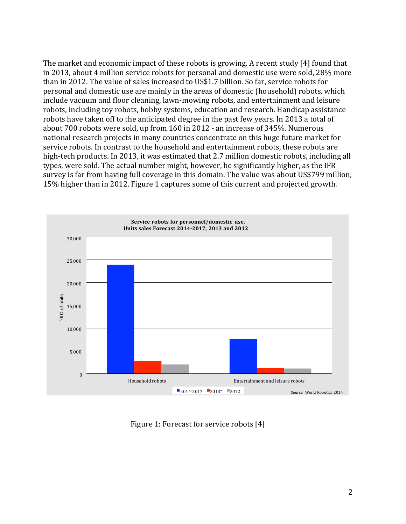The market and economic impact of these robots is growing. A recent study  $[4]$  found that in 2013, about 4 million service robots for personal and domestic use were sold, 28% more than in 2012. The value of sales increased to US\$1.7 billion. So far, service robots for personal and domestic use are mainly in the areas of domestic (household) robots, which include vacuum and floor cleaning, lawn-mowing robots, and entertainment and leisure robots, including toy robots, hobby systems, education and research. Handicap assistance robots have taken off to the anticipated degree in the past few years. In 2013 a total of about 700 robots were sold, up from 160 in 2012 - an increase of 345%. Numerous national research projects in many countries concentrate on this huge future market for service robots. In contrast to the household and entertainment robots, these robots are high-tech products. In 2013, it was estimated that 2.7 million domestic robots, including all types, were sold. The actual number might, however, be significantly higher, as the IFR survey is far from having full coverage in this domain. The value was about US\$799 million, 15% higher than in 2012. Figure 1 captures some of this current and projected growth.



Figure 1: Forecast for service robots [4]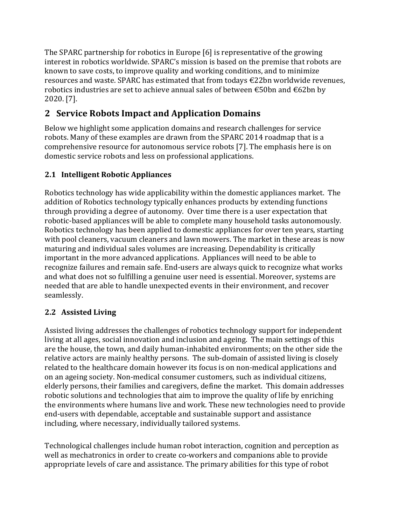The SPARC partnership for robotics in Europe  $[6]$  is representative of the growing interest in robotics worldwide. SPARC's mission is based on the premise that robots are known to save costs, to improve quality and working conditions, and to minimize resources and waste. SPARC has estimated that from todays  $\epsilon$ 22bn worldwide revenues, robotics industries are set to achieve annual sales of between  $\epsilon$ 50bn and  $\epsilon$ 62bn by 2020. [7].

# **2 Service Robots Impact and Application Domains**

Below we highlight some application domains and research challenges for service robots. Many of these examples are drawn from the SPARC 2014 roadmap that is a comprehensive resource for autonomous service robots [7]. The emphasis here is on domestic service robots and less on professional applications.

## **2.1 Intelligent Robotic Appliances**

Robotics technology has wide applicability within the domestic appliances market. The addition of Robotics technology typically enhances products by extending functions through providing a degree of autonomy. Over time there is a user expectation that robotic-based appliances will be able to complete many household tasks autonomously. Robotics technology has been applied to domestic appliances for over ten years, starting with pool cleaners, vacuum cleaners and lawn mowers. The market in these areas is now maturing and individual sales volumes are increasing. Dependability is critically important in the more advanced applications. Appliances will need to be able to recognize failures and remain safe. End-users are always quick to recognize what works and what does not so fulfilling a genuine user need is essential. Moreover, systems are needed that are able to handle unexpected events in their environment, and recover seamlessly.

### **2.2 Assisted Living**

Assisted living addresses the challenges of robotics technology support for independent living at all ages, social innovation and inclusion and ageing. The main settings of this are the house, the town, and daily human-inhabited environments; on the other side the relative actors are mainly healthy persons. The sub-domain of assisted living is closely related to the healthcare domain however its focus is on non-medical applications and on an ageing society. Non-medical consumer customers, such as individual citizens, elderly persons, their families and caregivers, define the market. This domain addresses robotic solutions and technologies that aim to improve the quality of life by enriching the environments where humans live and work. These new technologies need to provide end-users with dependable, acceptable and sustainable support and assistance including, where necessary, individually tailored systems.

Technological challenges include human robot interaction, cognition and perception as well as mechatronics in order to create co-workers and companions able to provide appropriate levels of care and assistance. The primary abilities for this type of robot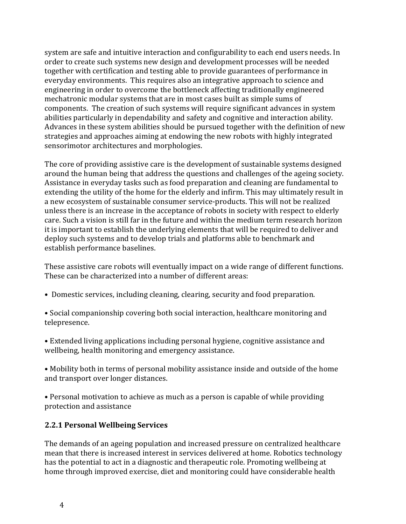system are safe and intuitive interaction and configurability to each end users needs. In order to create such systems new design and development processes will be needed together with certification and testing able to provide guarantees of performance in everyday environments. This requires also an integrative approach to science and engineering in order to overcome the bottleneck affecting traditionally engineered mechatronic modular systems that are in most cases built as simple sums of components. The creation of such systems will require significant advances in system abilities particularly in dependability and safety and cognitive and interaction ability. Advances in these system abilities should be pursued together with the definition of new strategies and approaches aiming at endowing the new robots with highly integrated sensorimotor architectures and morphologies.

The core of providing assistive care is the development of sustainable systems designed around the human being that address the questions and challenges of the ageing society. Assistance in everyday tasks such as food preparation and cleaning are fundamental to extending the utility of the home for the elderly and infirm. This may ultimately result in a new ecosystem of sustainable consumer service-products. This will not be realized unless there is an increase in the acceptance of robots in society with respect to elderly care. Such a vision is still far in the future and within the medium term research horizon it is important to establish the underlying elements that will be required to deliver and deploy such systems and to develop trials and platforms able to benchmark and establish performance baselines.

These assistive care robots will eventually impact on a wide range of different functions. These can be characterized into a number of different areas:

- Domestic services, including cleaning, clearing, security and food preparation.
- Social companionship covering both social interaction, healthcare monitoring and telepresence.
- Extended living applications including personal hygiene, cognitive assistance and wellbeing, health monitoring and emergency assistance.

• Mobility both in terms of personal mobility assistance inside and outside of the home and transport over longer distances.

• Personal motivation to achieve as much as a person is capable of while providing protection and assistance

#### **2.2.1 Personal Wellbeing Services**

The demands of an ageing population and increased pressure on centralized healthcare mean that there is increased interest in services delivered at home. Robotics technology has the potential to act in a diagnostic and therapeutic role. Promoting wellbeing at home through improved exercise, diet and monitoring could have considerable health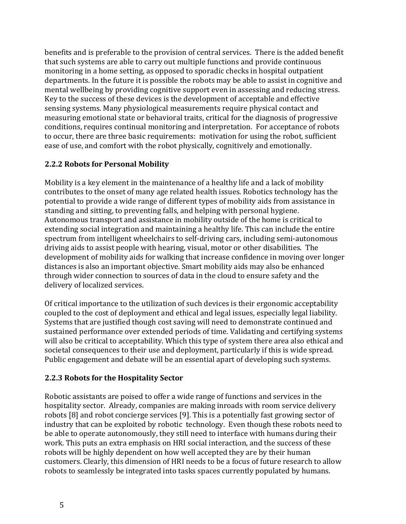benefits and is preferable to the provision of central services. There is the added benefit that such systems are able to carry out multiple functions and provide continuous monitoring in a home setting, as opposed to sporadic checks in hospital outpatient departments. In the future it is possible the robots may be able to assist in cognitive and mental wellbeing by providing cognitive support even in assessing and reducing stress. Key to the success of these devices is the development of acceptable and effective sensing systems. Many physiological measurements require physical contact and measuring emotional state or behavioral traits, critical for the diagnosis of progressive conditions, requires continual monitoring and interpretation. For acceptance of robots to occur, there are three basic requirements: motivation for using the robot, sufficient ease of use, and comfort with the robot physically, cognitively and emotionally.

### **2.2.2 Robots for Personal Mobility**

Mobility is a key element in the maintenance of a healthy life and a lack of mobility contributes to the onset of many age related health issues. Robotics technology has the potential to provide a wide range of different types of mobility aids from assistance in standing and sitting, to preventing falls, and helping with personal hygiene. Autonomous transport and assistance in mobility outside of the home is critical to extending social integration and maintaining a healthy life. This can include the entire spectrum from intelligent wheelchairs to self-driving cars, including semi-autonomous driving aids to assist people with hearing, visual, motor or other disabilities. The development of mobility aids for walking that increase confidence in moving over longer distances is also an important objective. Smart mobility aids may also be enhanced through wider connection to sources of data in the cloud to ensure safety and the delivery of localized services.

Of critical importance to the utilization of such devices is their ergonomic acceptability coupled to the cost of deployment and ethical and legal issues, especially legal liability. Systems that are justified though cost saving will need to demonstrate continued and sustained performance over extended periods of time. Validating and certifying systems will also be critical to acceptability. Which this type of system there area also ethical and societal consequences to their use and deployment, particularly if this is wide spread. Public engagement and debate will be an essential apart of developing such systems.

#### **2.2.3 Robots for the Hospitality Sector**

Robotic assistants are poised to offer a wide range of functions and services in the hospitality sector. Already, companies are making inroads with room service delivery robots [8] and robot concierge services [9]. This is a potentially fast growing sector of industry that can be exploited by robotic technology. Even though these robots need to be able to operate autonomously, they still need to interface with humans during their work. This puts an extra emphasis on HRI social interaction, and the success of these robots will be highly dependent on how well accepted they are by their human customers. Clearly, this dimension of HRI needs to be a focus of future research to allow robots to seamlessly be integrated into tasks spaces currently populated by humans.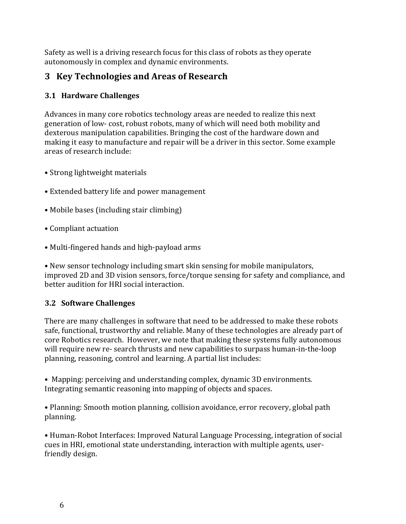Safety as well is a driving research focus for this class of robots as they operate autonomously in complex and dynamic environments.

## **3 Key Technologies and Areas of Research**

### **3.1 Hardware Challenges**

Advances in many core robotics technology areas are needed to realize this next generation of low- cost, robust robots, many of which will need both mobility and dexterous manipulation capabilities. Bringing the cost of the hardware down and making it easy to manufacture and repair will be a driver in this sector. Some example areas of research include:

- Strong lightweight materials
- Extended battery life and power management
- Mobile bases (including stair climbing)
- Compliant actuation
- Multi-fingered hands and high-payload arms

• New sensor technology including smart skin sensing for mobile manipulators, improved 2D and 3D vision sensors, force/torque sensing for safety and compliance, and better audition for HRI social interaction.

### **3.2 Software Challenges**

There are many challenges in software that need to be addressed to make these robots safe, functional, trustworthy and reliable. Many of these technologies are already part of core Robotics research. However, we note that making these systems fully autonomous will require new re- search thrusts and new capabilities to surpass human-in-the-loop planning, reasoning, control and learning. A partial list includes:

• Mapping: perceiving and understanding complex, dynamic 3D environments. Integrating semantic reasoning into mapping of objects and spaces.

• Planning: Smooth motion planning, collision avoidance, error recovery, global path planning.

• Human-Robot Interfaces: Improved Natural Language Processing, integration of social cues in HRI, emotional state understanding, interaction with multiple agents, userfriendly design.